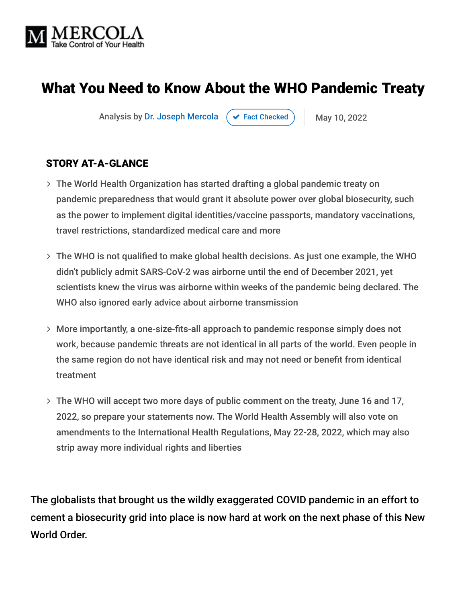

# What You Need to Know About the WHO Pandemic Treaty

Analysis by [Dr. Joseph Mercola](https://www.mercola.com/forms/background.htm)  $\left( \right. \times$  [Fact Checked](javascript:void(0))  $\left. \right)$  May 10, 2022

#### STORY AT-A-GLANCE

- The World Health Organization has started drafting a global pandemic treaty on pandemic preparedness that would grant it absolute power over global biosecurity, such as the power to implement digital identities/vaccine passports, mandatory vaccinations, travel restrictions, standardized medical care and more
- The WHO is not qualified to make global health decisions. As just one example, the WHO didn't publicly admit SARS-CoV-2 was airborne until the end of December 2021, yet scientists knew the virus was airborne within weeks of the pandemic being declared. The WHO also ignored early advice about airborne transmission
- More importantly, a one-size-fits-all approach to pandemic response simply does not work, because pandemic threats are not identical in all parts of the world. Even people in the same region do not have identical risk and may not need or benefit from identical treatment
- The WHO will accept two more days of public comment on the treaty, June 16 and 17, 2022, so prepare your statements now. The World Health Assembly will also vote on amendments to the International Health Regulations, May 22-28, 2022, which may also strip away more individual rights and liberties

The globalists that brought us the wildly exaggerated COVID pandemic in an effort to cement a biosecurity grid into place is now hard at work on the next phase of this New World Order.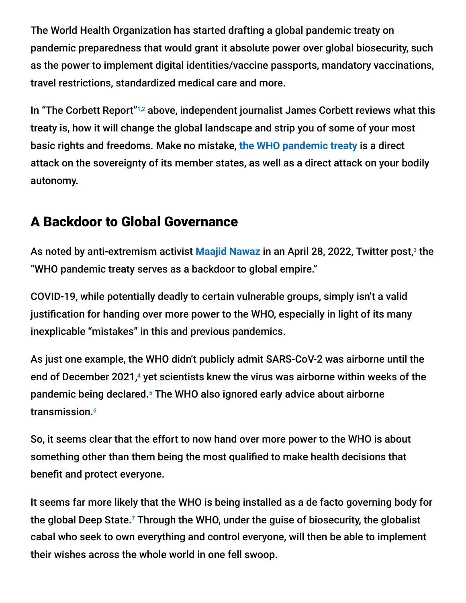The World Health Organization has started drafting a global pandemic treaty on pandemic preparedness that would grant it absolute power over global biosecurity, such as the power to implement digital identities/vaccine passports, mandatory vaccinations, travel restrictions, standardized medical care and more.

In "The Corbett Report"<sup>1,2</sup> above, independent journalist James Corbett reviews what this treaty is, how it will change the global landscape and strip you of some of your most basic rights and freedoms. Make no mistake, **[the WHO pandemic treaty](https://takecontrol.substack.com/p/who-pandemic-treaty?s=w)** is a direct attack on the sovereignty of its member states, as well as a direct attack on your bodily autonomy.

## A Backdoor to Global Governance

As noted by anti-extremism activist <mark>[Maajid Nawaz](https://takecontrol.substack.com/p/hybrid-war?s=r)</mark> in an April 28, 2022, Twitter post,<sup>3</sup> the "WHO pandemic treaty serves as a backdoor to global empire."

COVID-19, while potentially deadly to certain vulnerable groups, simply isn't a valid justification for handing over more power to the WHO, especially in light of its many inexplicable "mistakes" in this and previous pandemics.

As just one example, the WHO didn't publicly admit SARS-CoV-2 was airborne until the end of December 2021,<sup>4</sup> yet scientists knew the virus was airborne within weeks of the pandemic being declared.<sup>5</sup> The WHO also ignored early advice about airborne transmission. 6

So, it seems clear that the effort to now hand over more power to the WHO is about something other than them being the most qualified to make health decisions that benefit and protect everyone.

It seems far more likely that the WHO is being installed as a de facto governing body for the global Deep State. $^7$  Through the WHO, under the guise of biosecurity, the globalist cabal who seek to own everything and control everyone, will then be able to implement their wishes across the whole world in one fell swoop.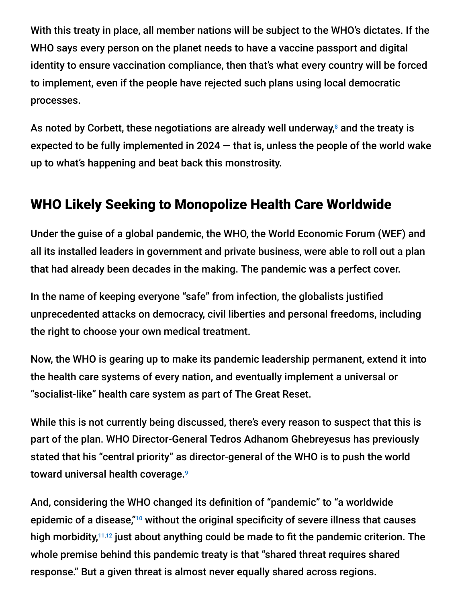With this treaty in place, all member nations will be subject to the WHO's dictates. If the WHO says every person on the planet needs to have a vaccine passport and digital identity to ensure vaccination compliance, then that's what every country will be forced to implement, even if the people have rejected such plans using local democratic processes.

As noted by Corbett, these negotiations are already well underway, $^8$  and the treaty is expected to be fully implemented in 2024  $-$  that is, unless the people of the world wake up to what's happening and beat back this monstrosity.

#### WHO Likely Seeking to Monopolize Health Care Worldwide

Under the guise of a global pandemic, the WHO, the World Economic Forum (WEF) and all its installed leaders in government and private business, were able to roll out a plan that had already been decades in the making. The pandemic was a perfect cover.

In the name of keeping everyone "safe" from infection, the globalists justified unprecedented attacks on democracy, civil liberties and personal freedoms, including the right to choose your own medical treatment.

Now, the WHO is gearing up to make its pandemic leadership permanent, extend it into the health care systems of every nation, and eventually implement a universal or "socialist-like" health care system as part of The Great Reset.

While this is not currently being discussed, there's every reason to suspect that this is part of the plan. WHO Director-General Tedros Adhanom Ghebreyesus has previously stated that his "central priority" as director-general of the WHO is to push the world toward universal health coverage. 9

And, considering the WHO changed its definition of "pandemic" to "a worldwide epidemic of a disease," $10$  without the original specificity of severe illness that causes high morbidity,<sup>11,12</sup> just about anything could be made to fit the pandemic criterion. The whole premise behind this pandemic treaty is that "shared threat requires shared response." But a given threat is almost never equally shared across regions.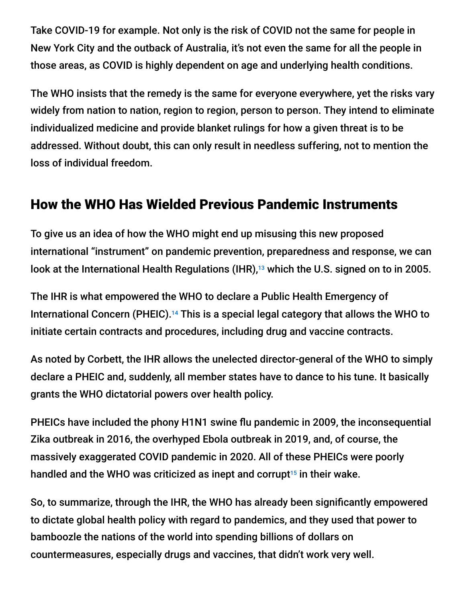Take COVID-19 for example. Not only is the risk of COVID not the same for people in New York City and the outback of Australia, it's not even the same for all the people in those areas, as COVID is highly dependent on age and underlying health conditions.

The WHO insists that the remedy is the same for everyone everywhere, yet the risks vary widely from nation to nation, region to region, person to person. They intend to eliminate individualized medicine and provide blanket rulings for how a given threat is to be addressed. Without doubt, this can only result in needless suffering, not to mention the loss of individual freedom.

#### How the WHO Has Wielded Previous Pandemic Instruments

To give us an idea of how the WHO might end up misusing this new proposed international "instrument" on pandemic prevention, preparedness and response, we can look at the International Health Regulations (IHR), $^{13}$  which the U.S. signed on to in 2005.

The IHR is what empowered the WHO to declare a Public Health Emergency of International Concern (PHEIC).<sup>14</sup> This is a special legal category that allows the WHO to initiate certain contracts and procedures, including drug and vaccine contracts.

As noted by Corbett, the IHR allows the unelected director-general of the WHO to simply declare a PHEIC and, suddenly, all member states have to dance to his tune. It basically grants the WHO dictatorial powers over health policy.

PHEICs have included the phony H1N1 swine flu pandemic in 2009, the inconsequential Zika outbreak in 2016, the overhyped Ebola outbreak in 2019, and, of course, the massively exaggerated COVID pandemic in 2020. All of these PHEICs were poorly handled and the WHO was criticized as inept and corrupt $15$  in their wake.

So, to summarize, through the IHR, the WHO has already been significantly empowered to dictate global health policy with regard to pandemics, and they used that power to bamboozle the nations of the world into spending billions of dollars on countermeasures, especially drugs and vaccines, that didn't work very well.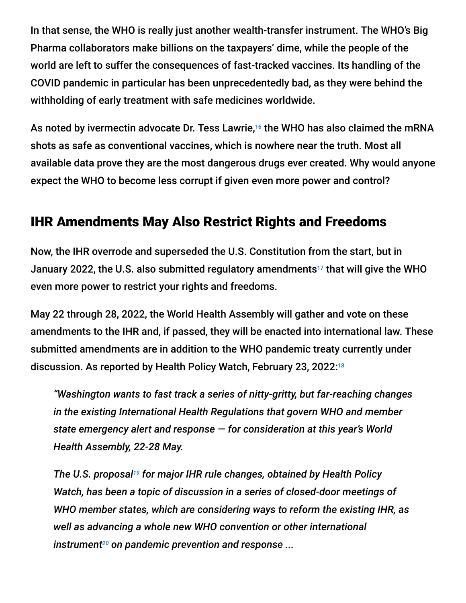In that sense, the WHO is really just another wealth-transfer instrument. The WHO's Big Pharma collaborators make billions on the taxpayers' dime, while the people of the world are left to suffer the consequences of fast-tracked vaccines. Its handling of the COVID pandemic in particular has been unprecedentedly bad, as they were behind the withholding of early treatment with safe medicines worldwide.

As noted by ivermectin advocate Dr. Tess Lawrie,<sup>16</sup> the WHO has also claimed the mRNA shots as safe as conventional vaccines, which is nowhere near the truth. Most all available data prove they are the most dangerous drugs ever created. Why would anyone expect the WHO to become less corrupt if given even more power and control?

## IHR Amendments May Also Restrict Rights and Freedoms

Now, the IHR overrode and superseded the U.S. Constitution from the start, but in January 2022, the U.S. also submitted regulatory amendments $^{17}$  that will give the WHO even more power to restrict your rights and freedoms.

May 22 through 28, 2022, the World Health Assembly will gather and vote on these amendments to the IHR and, if passed, they will be enacted into international law. These submitted amendments are in addition to the WHO pandemic treaty currently under discussion. As reported by Health Policy Watch, February 23, 2022: 18

*"Washington wants to fast track a series of nitty-gritty, but far-reaching changes in the existing International Health Regulations that govern WHO and member state emergency alert and response — for consideration at this year's World Health Assembly, 22-28 May.*

The U.S. proposal<sup>19</sup> for major IHR rule changes, obtained by Health Policy *Watch, has been a topic of discussion in a series of closed-door meetings of WHO member states, which are considering ways to reform the existing IHR, as well as advancing a whole new WHO convention or other international instrument<sup>20</sup> on pandemic prevention and response* ...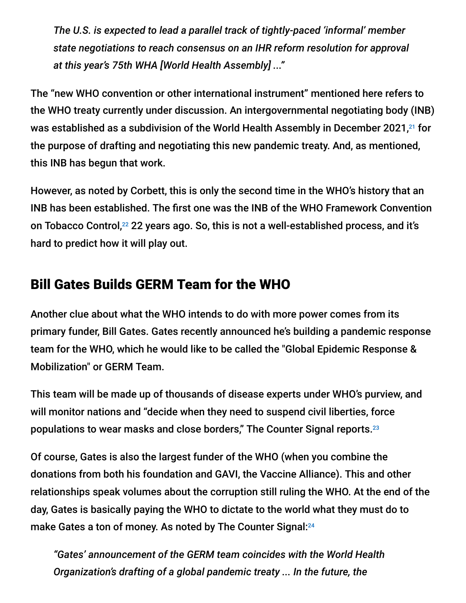*The U.S. is expected to lead a parallel track of tightly-paced 'informal' member state negotiations to reach consensus on an IHR reform resolution for approval at this year's 75th WHA [World Health Assembly] ..."*

The "new WHO convention or other international instrument" mentioned here refers to the WHO treaty currently under discussion. An intergovernmental negotiating body (INB) was established as a subdivision of the World Health Assembly in December 2021,21 for the purpose of drafting and negotiating this new pandemic treaty. And, as mentioned, this INB has begun that work.

However, as noted by Corbett, this is only the second time in the WHO's history that an INB has been established. The first one was the INB of the WHO Framework Convention on Tobacco Control,<sup>22</sup> 22 years ago. So, this is not a well-established process, and it's hard to predict how it will play out.

## Bill Gates Builds GERM Team for the WHO

Another clue about what the WHO intends to do with more power comes from its primary funder, Bill Gates. Gates recently announced he's building a pandemic response team for the WHO, which he would like to be called the "Global Epidemic Response & Mobilization" or GERM Team.

This team will be made up of thousands of disease experts under WHO's purview, and will monitor nations and "decide when they need to suspend civil liberties, force populations to wear masks and close borders," The Counter Signal reports. 23

Of course, Gates is also the largest funder of the WHO (when you combine the donations from both his foundation and GAVI, the Vaccine Alliance). This and other relationships speak volumes about the corruption still ruling the WHO. At the end of the day, Gates is basically paying the WHO to dictate to the world what they must do to make Gates a ton of money. As noted by The Counter Signal: 24

*"Gates' announcement of the GERM team coincides with the World Health Organization's drafting of a global pandemic treaty ... In the future, the*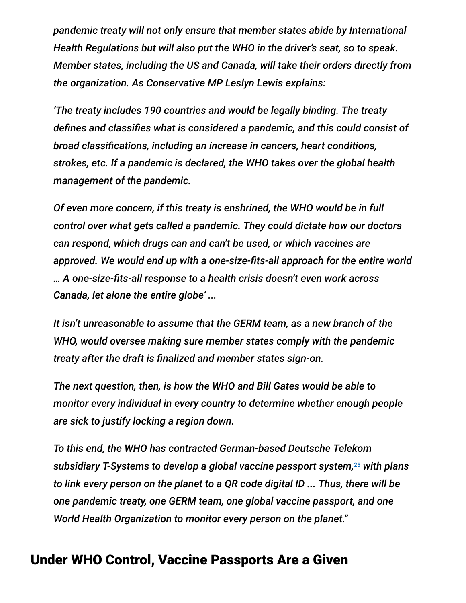*pandemic treaty will not only ensure that member states abide by International Health Regulations but will also put the WHO in the driver's seat, so to speak. Member states, including the US and Canada, will take their orders directly from the organization. As Conservative MP Leslyn Lewis explains:*

*'The treaty includes 190 countries and would be legally binding. The treaty defines and classifies what is considered a pandemic, and this could consist of broad classifications, including an increase in cancers, heart conditions, strokes, etc. If a pandemic is declared, the WHO takes over the global health management of the pandemic.*

*Of even more concern, if this treaty is enshrined, the WHO would be in full control over what gets called a pandemic. They could dictate how our doctors can respond, which drugs can and can't be used, or which vaccines are approved. We would end up with a one-size-fits-all approach for the entire world … A one-size-fits-all response to a health crisis doesn't even work across Canada, let alone the entire globe' ...*

*It isn't unreasonable to assume that the GERM team, as a new branch of the WHO, would oversee making sure member states comply with the pandemic treaty after the draft is finalized and member states sign-on.*

*The next question, then, is how the WHO and Bill Gates would be able to monitor every individual in every country to determine whether enough people are sick to justify locking a region down.*

*To this end, the WHO has contracted German-based Deutsche Telekom subsidiary T-Systems to develop a global vaccine passport system, with plans* 25*to link every person on the planet to a QR code digital ID ... Thus, there will be one pandemic treaty, one GERM team, one global vaccine passport, and one World Health Organization to monitor every person on the planet."*

#### Under WHO Control, Vaccine Passports Are a Given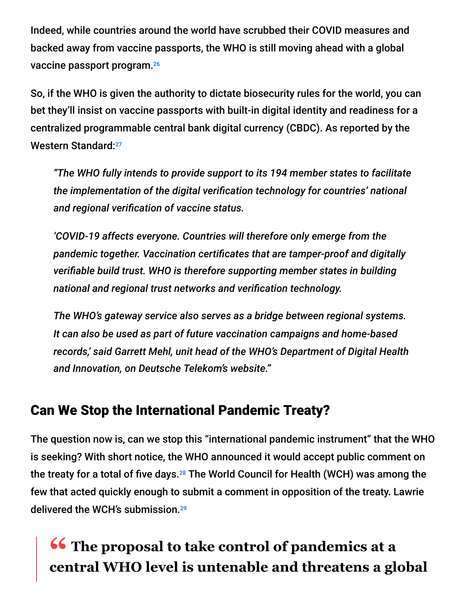Indeed, while countries around the world have scrubbed their COVID measures and backed away from vaccine passports, the WHO is still moving ahead with a global vaccine passport program. 26

So, if the WHO is given the authority to dictate biosecurity rules for the world, you can bet they'll insist on vaccine passports with built-in digital identity and readiness for a centralized programmable central bank digital currency (CBDC). As reported by the Western Standard: 27

*"The WHO fully intends to provide support to its 194 member states to facilitate the implementation of the digital verification technology for countries' national and regional verification of vaccine status.*

*'COVID-19 affects everyone. Countries will therefore only emerge from the pandemic together. Vaccination certificates that are tamper-proof and digitally verifiable build trust. WHO is therefore supporting member states in building national and regional trust networks and verification technology.*

*The WHO's gateway service also serves as a bridge between regional systems. It can also be used as part of future vaccination campaigns and home-based records,' said Garrett Mehl, unit head of the WHO's Department of Digital Health and Innovation, on Deutsche Telekom's website."*

# Can We Stop the International Pandemic Treaty?

The question now is, can we stop this "international pandemic instrument" that the WHO is seeking? With short notice, the WHO announced it would accept public comment on the treaty for a total of five days. $^{28}$  The World Council for Health (WCH) was among the few that acted quickly enough to submit a comment in opposition of the treaty. Lawrie delivered the WCH's submission. 29

# **<sup>66</sup>** The proposal to take control of pandemics at a<br> **Contral WHO level is untenable and threatens a gla central WHO level is untenable and threatens a global**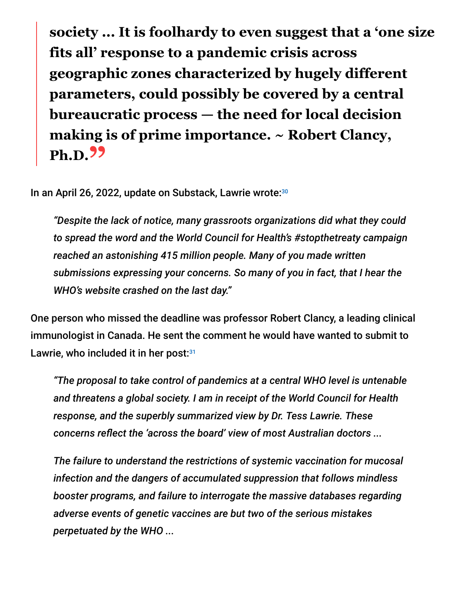**society ... It is foolhardy to even suggest that a 'one size fits all' response to a pandemic crisis across geographic zones characterized by hugely different parameters, could possibly be covered by a central bureaucratic process — the need for local decision making is of prime importance. ~ Robert Clancy, Ph.D."**

In an April 26, 2022, update on Substack, Lawrie wrote: 30

*"Despite the lack of notice, many grassroots organizations did what they could to spread the word and the World Council for Health's #stopthetreaty campaign reached an astonishing 415 million people. Many of you made written submissions expressing your concerns. So many of you in fact, that I hear the WHO's website crashed on the last day."*

One person who missed the deadline was professor Robert Clancy, a leading clinical immunologist in Canada. He sent the comment he would have wanted to submit to Lawrie, who included it in her post:<sup>31</sup>

*"The proposal to take control of pandemics at a central WHO level is untenable and threatens a global society. I am in receipt of the World Council for Health response, and the superbly summarized view by Dr. Tess Lawrie. These concerns reflect the 'across the board' view of most Australian doctors ...*

*The failure to understand the restrictions of systemic vaccination for mucosal infection and the dangers of accumulated suppression that follows mindless booster programs, and failure to interrogate the massive databases regarding adverse events of genetic vaccines are but two of the serious mistakes perpetuated by the WHO ...*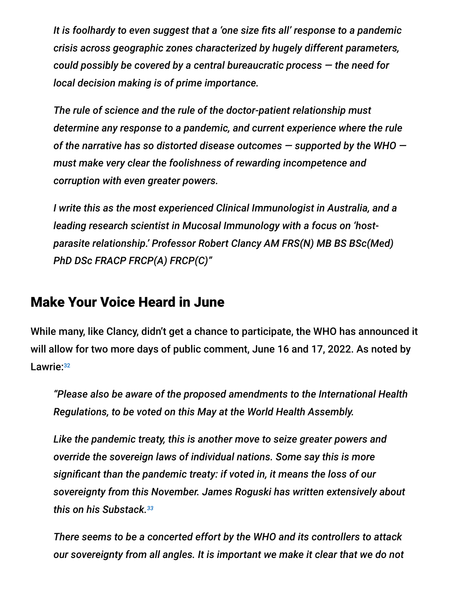*It is foolhardy to even suggest that a 'one size fits all' response to a pandemic crisis across geographic zones characterized by hugely different parameters, could possibly be covered by a central bureaucratic process — the need for local decision making is of prime importance.*

*The rule of science and the rule of the doctor-patient relationship must determine any response to a pandemic, and current experience where the rule of the narrative has so distorted disease outcomes — supported by the WHO must make very clear the foolishness of rewarding incompetence and corruption with even greater powers.*

*I write this as the most experienced Clinical Immunologist in Australia, and a leading research scientist in Mucosal Immunology with a focus on 'hostparasite relationship.' Professor Robert Clancy AM FRS(N) MB BS BSc(Med) PhD DSc FRACP FRCP(A) FRCP(C)"*

#### Make Your Voice Heard in June

While many, like Clancy, didn't get a chance to participate, the WHO has announced it will allow for two more days of public comment, June 16 and 17, 2022. As noted by Lawrie: 32

*"Please also be aware of the proposed amendments to the International Health Regulations, to be voted on this May at the World Health Assembly.*

*Like the pandemic treaty, this is another move to seize greater powers and override the sovereign laws of individual nations. Some say this is more significant than the pandemic treaty: if voted in, it means the loss of our sovereignty from this November. James Roguski has written extensively about this on his Substack. 33*

*There seems to be a concerted effort by the WHO and its controllers to attack our sovereignty from all angles. It is important we make it clear that we do not*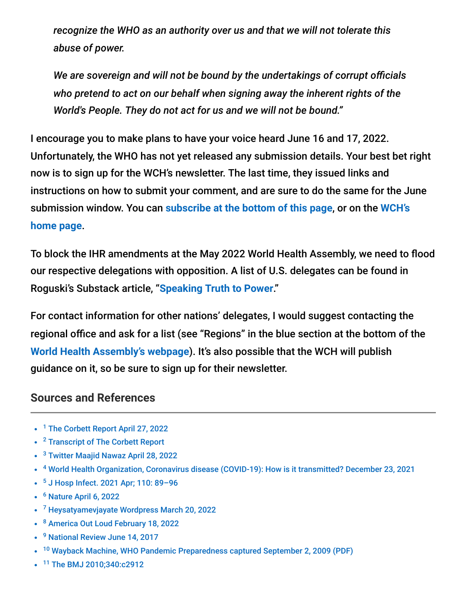*recognize the WHO as an authority over us and that we will not tolerate this abuse of power.*

*We are sovereign and will not be bound by the undertakings of corrupt officials who pretend to act on our behalf when signing away the inherent rights of the World's People. They do not act for us and we will not be bound."*

I encourage you to make plans to have your voice heard June 16 and 17, 2022. Unfortunately, the WHO has not yet released any submission details. Your best bet right now is to sign up for the WCH's newsletter. The last time, they issued links and instructions on how to submit your comment, and are sure to do the same for the June submission window. You can **[s](https://worldcouncilforhealth.org/)[ubscribe at the bottom of this page](https://worldcouncilforhealth.org/news/2022/04/stopthetreaty-comment-who-pandemic-treaty/66422/)**, or on the **WCH's home page**.

To block the IHR amendments at the May 2022 World Health Assembly, we need to flood our respective delegations with opposition. A list of U.S. delegates can be found in Roguski's Substack article, "**[Speaking Truth to Power](https://jamesroguski.substack.com/p/speaking-truth-to-power?s=r)**."

For contact information for other nations' delegates, I would suggest contacting the regional office and ask for a list (see "Regions" in the blue section at the bottom of the **[World Health Assembly's webpage](https://www.who.int/about/governance/world-health-assembly)**). It's also possible that the WCH will publish guidance on it, so be sure to sign up for their newsletter.

#### **Sources and References**

- <sup>1</sup> [The Corbett Report April 27, 2022](https://www.corbettreport.com/globaltreaty/)
- <sup>2</sup> [Transcript of The Corbett Report](https://otter.ai/u/StXjeQ_7DgReIbdJezCxh-yR9uo)
- <sup>3</sup> [Twitter Maajid Nawaz April 28, 2022](https://twitter.com/maajidnawaz/status/1519632314556428288?s=21&t=kkWsxFb7IsWE7AcLlaCrQQ)
- <sup>4</sup> [World Health Organization, Coronavirus disease \(COVID-19\): How is it transmitted? December 23, 2021](https://www.who.int/news-room/questions-and-answers/item/coronavirus-disease-covid-19-how-is-it-transmitted)
- <sup>5</sup> J Hosp Infect. 2021 Apr; 110: 89-96
- <sup>6</sup> [Nature April 6, 2022](https://www.nature.com/articles/d41586-022-00925-7)
- <sup>7</sup> [Heysatyamevjayate Wordpress March 20, 2022](https://heysatyamevjayate.wordpress.com/2022/03/20/the-who-pandemic-treaty-a-backdoor-to-global-governance/)
- <sup>8</sup> [America Out Loud February 18, 2022](https://www.americaoutloud.com/tedros-introduces-globalist-plan-to-take-over-worlds-health-systems/)
- <sup>9</sup> [National Review June 14, 2017](https://www.nationalreview.com/2017/06/world-health-organization-corrupt-wasteful/)
- <sup>10</sup> [Wayback Machine, WHO Pandemic Preparedness captured September 2, 2009 \(PDF\)](http://whale.to/vaccine/WHO2.pdf)
- <sup>11</sup> [The BMJ 2010;340:c2912](https://www.bmj.com/rapid-response/2011/11/02/who-changed-definition-influenza-pandemic)